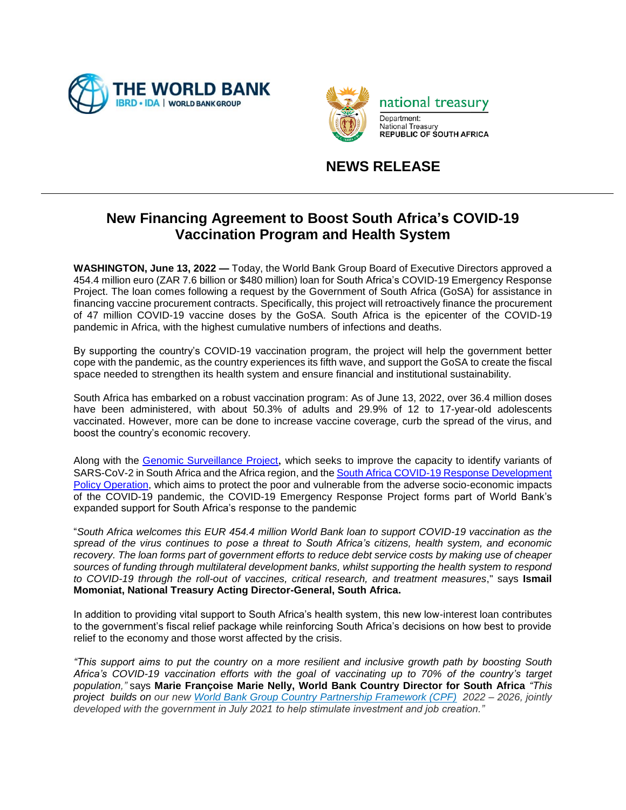



## **NEWS RELEASE**

# **New Financing Agreement to Boost South Africa's COVID-19 Vaccination Program and Health System**

**WASHINGTON, June 13, 2022 —** Today, the World Bank Group Board of Executive Directors approved a 454.4 million euro (ZAR 7.6 billion or \$480 million) loan for South Africa's COVID-19 Emergency Response Project. The loan comes following a request by the Government of South Africa (GoSA) for assistance in financing vaccine procurement contracts. Specifically, this project will retroactively finance the procurement of 47 million COVID-19 vaccine doses by the GoSA. South Africa is the epicenter of the COVID-19 pandemic in Africa, with the highest cumulative numbers of infections and deaths.

By supporting the country's COVID-19 vaccination program, the project will help the government better cope with the pandemic, as the country experiences its fifth wave, and support the GoSA to create the fiscal space needed to strengthen its health system and ensure financial and institutional sustainability.

South Africa has embarked on a robust vaccination program: As of June 13, 2022, over 36.4 million doses have been administered, with about 50.3% of adults and 29.9% of 12 to 17-year-old adolescents vaccinated. However, more can be done to increase vaccine coverage, curb the spread of the virus, and boost the country's economic recovery.

Along with the [Genomic Surveillance Project](https://projects.worldbank.org/en/projects-operations/project-detail/P177439), which seeks to improve the capacity to identify variants of SARS-CoV-2 in South Africa and the Africa region, and th[e South Africa COVID-19 Response Development](https://projects.worldbank.org/en/projects-operations/project-detail/P174246)  [Policy Operation,](https://projects.worldbank.org/en/projects-operations/project-detail/P174246) which aims to protect the poor and vulnerable from the adverse socio-economic impacts of the COVID-19 pandemic, the COVID-19 Emergency Response Project forms part of World Bank's expanded support for South Africa's response to the pandemic

"*South Africa welcomes this EUR 454.4 million World Bank loan to support COVID-19 vaccination as the spread of the virus continues to pose a threat to South Africa's citizens, health system, and economic recovery. The loan forms part of government efforts to reduce debt service costs by making use of cheaper sources of funding through multilateral development banks, whilst supporting the health system to respond to COVID-19 through the roll-out of vaccines, critical research, and treatment measures*," says **Ismail Momoniat, National Treasury Acting Director-General, South Africa.**

In addition to providing vital support to South Africa's health system, this new low-interest loan contributes to the government's fiscal relief package while reinforcing South Africa's decisions on how best to provide relief to the economy and those worst affected by the crisis.

*"This support aims to put the country on a more resilient and inclusive growth path by boosting South Africa's COVID-19 vaccination efforts with the goal of vaccinating up to 70% of the country's target population,"* says **Marie Françoise Marie Nelly, World Bank Country Director for South Africa** *"This project builds on our new [World Bank Group Country Partnership Framework \(CPF\)](https://documents.worldbank.org/en/publication/documents-reports/documentdetail/139701627178427304/south-africa-country-partnership-framework-for-the-period-fy22-fy26) 2022 – 2026, jointly developed with the government in July 2021 to help stimulate investment and job creation."*